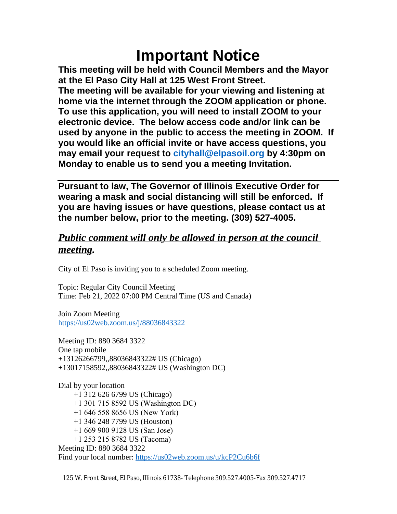# **Important Notice**

**This meeting will be held with Council Members and the Mayor at the El Paso City Hall at 125 West Front Street. The meeting will be available for your viewing and listening at home via the internet through the ZOOM application or phone. To use this application, you will need to install ZOOM to your electronic device. The below access code and/or link can be used by anyone in the public to access the meeting in ZOOM. If you would like an official invite or have access questions, you may email your request to [cityhall@elpasoil.org](mailto:cityhall@elpasoil.org) by 4:30pm on Monday to enable us to send you a meeting Invitation.**

**Pursuant to law, The Governor of Illinois Executive Order for wearing a mask and social distancing will still be enforced. If you are having issues or have questions, please contact us at the number below, prior to the meeting. (309) 527-4005.**

# *Public comment will only be allowed in person at the council meeting.*

City of El Paso is inviting you to a scheduled Zoom meeting.

Topic: Regular City Council Meeting Time: Feb 21, 2022 07:00 PM Central Time (US and Canada)

Join Zoom Meeting <https://us02web.zoom.us/j/88036843322>

Meeting ID: 880 3684 3322 One tap mobile +13126266799,,88036843322# US (Chicago) +13017158592,,88036843322# US (Washington DC)

Dial by your location +1 312 626 6799 US (Chicago) +1 301 715 8592 US (Washington DC) +1 646 558 8656 US (New York) +1 346 248 7799 US (Houston) +1 669 900 9128 US (San Jose) +1 253 215 8782 US (Tacoma) Meeting ID: 880 3684 3322 Find your local number:<https://us02web.zoom.us/u/kcP2Cu6b6f>

125 W. Front Street, El Paso, Illinois 61738- Telephone 309.527.4005-Fax 309.527.4717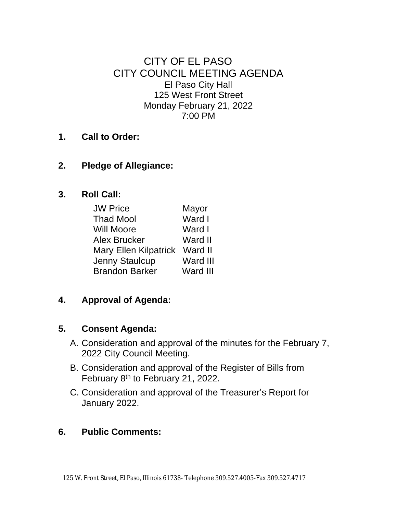CITY OF EL PASO CITY COUNCIL MEETING AGENDA El Paso City Hall 125 West Front Street Monday February 21, 2022 7:00 PM

**1. Call to Order:**

#### **2. Pledge of Allegiance:**

#### **3. Roll Call:**

| <b>JW Price</b>               | Mayor    |
|-------------------------------|----------|
| <b>Thad Mool</b>              | Ward I   |
| <b>Will Moore</b>             | Ward I   |
| Alex Brucker                  | Ward II  |
| Mary Ellen Kilpatrick Ward II |          |
| Jenny Staulcup                | Ward III |
| <b>Brandon Barker</b>         | Ward III |

**4. Approval of Agenda:**

#### **5. Consent Agenda:**

- A. Consideration and approval of the minutes for the February 7, 2022 City Council Meeting.
- B. Consideration and approval of the Register of Bills from February 8th to February 21, 2022.
- C. Consideration and approval of the Treasurer's Report for January 2022.

#### **6. Public Comments:**